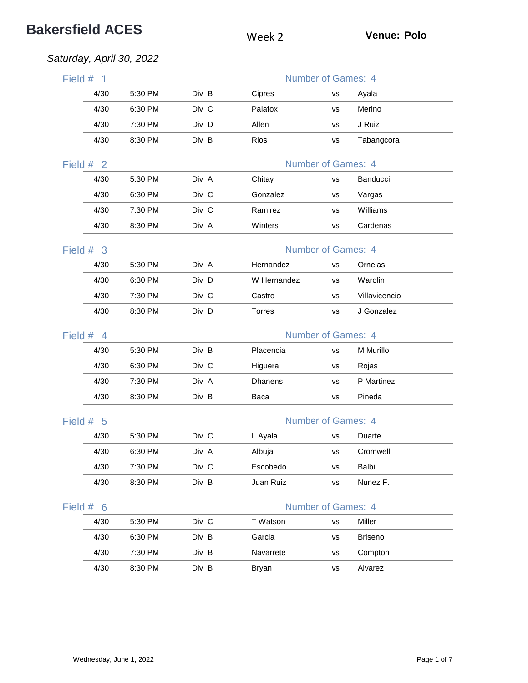# **Bakersfield ACES** Week 2 **Venue: Polo**

### *Saturday, April 30, 2022*

|           |                | iluruay, nprir Ju, 2022 |       |                |                           |               |
|-----------|----------------|-------------------------|-------|----------------|---------------------------|---------------|
| Field $#$ | $\overline{1}$ |                         |       |                | Number of Games: 4        |               |
|           | 4/30           | 5:30 PM                 | Div B | Cipres         | <b>VS</b>                 | Ayala         |
|           | 4/30           | 6:30 PM                 | Div C | Palafox        | <b>VS</b>                 | Merino        |
|           | 4/30           | 7:30 PM                 | Div D | Allen          | <b>VS</b>                 | J Ruiz        |
|           | 4/30           | 8:30 PM                 | Div B | Rios           | <b>VS</b>                 | Tabangcora    |
| Field #   | 2              |                         |       |                | Number of Games: 4        |               |
|           | 4/30           | 5:30 PM                 | Div A | Chitay         | <b>VS</b>                 | Banducci      |
|           | 4/30           | 6:30 PM                 | Div C | Gonzalez       | <b>VS</b>                 | Vargas        |
|           | 4/30           | 7:30 PM                 | Div C | Ramirez        | <b>VS</b>                 | Williams      |
|           | 4/30           | 8:30 PM                 | Div A | Winters        | <b>VS</b>                 | Cardenas      |
| Field #   | -3             |                         |       |                | <b>Number of Games: 4</b> |               |
|           | 4/30           | 5:30 PM                 | Div A | Hernandez      | <b>VS</b>                 | Ornelas       |
|           | 4/30           | 6:30 PM                 | Div D | W Hernandez    | <b>VS</b>                 | Warolin       |
|           | 4/30           | 7:30 PM                 | Div C | Castro         | <b>VS</b>                 | Villavicencio |
|           | 4/30           | 8:30 PM                 | Div D | <b>Torres</b>  | <b>VS</b>                 | J Gonzalez    |
| Field #   | $\overline{4}$ |                         |       |                | <b>Number of Games: 4</b> |               |
|           | 4/30           | 5:30 PM                 | Div B | Placencia      | <b>VS</b>                 | M Murillo     |
|           | 4/30           | 6:30 PM                 | Div C | Higuera        | vs                        | Rojas         |
|           | 4/30           | 7:30 PM                 | Div A | <b>Dhanens</b> | <b>VS</b>                 | P Martinez    |
|           | 4/30           | 8:30 PM                 | Div B | Baca           | <b>VS</b>                 | Pineda        |
|           |                |                         |       |                |                           |               |

### Field # 5 Number of Games: 4

| 4/30 | 5:30 PM | Div C | L Ayala   | vs | Duarte   |
|------|---------|-------|-----------|----|----------|
| 4/30 | 6:30 PM | Div A | Albuja    | VS | Cromwell |
| 4/30 | 7:30 PM | Div C | Escobedo  | vs | Balbi    |
| 4/30 | 8:30 PM | Div B | Juan Ruiz | VS | Nunez F. |

### Field # 6 Number of Games: 4

| 4/30 | 5:30 PM | Div C | T Watson  | vs | Miller         |  |
|------|---------|-------|-----------|----|----------------|--|
| 4/30 | 6:30 PM | Div B | Garcia    | vs | <b>Briseno</b> |  |
| 4/30 | 7:30 PM | Div B | Navarrete | vs | Compton        |  |
| 4/30 | 8:30 PM | Div B | Bryan     | vs | Alvarez        |  |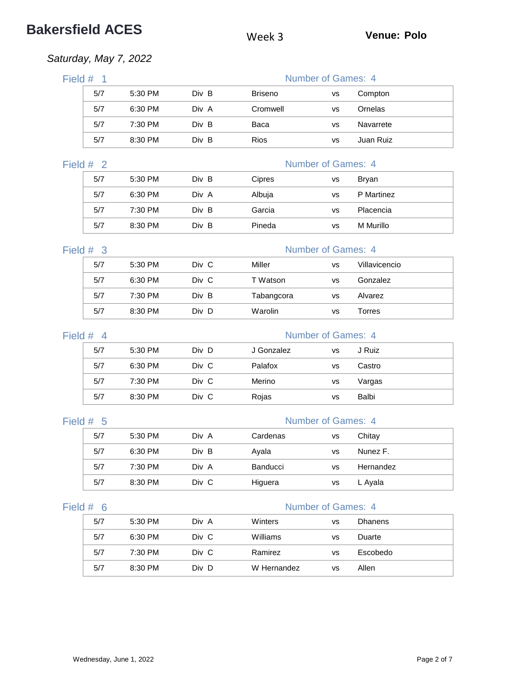# **Bakersfield ACES** Week 3 **Venue: Polo**

### *Saturday, May 7, 2022*

| Field # | $\overline{1}$ |                    |       |                | Number of Games: 4        |                 |
|---------|----------------|--------------------|-------|----------------|---------------------------|-----------------|
|         | 5/7            | 5:30 PM            | Div B | <b>Briseno</b> | <b>VS</b>                 | Compton         |
|         | 5/7            | 6:30 PM            | Div A | Cromwell       | VS                        | Ornelas         |
|         | 5/7            | 7:30 PM            | Div B | Baca           | VS                        | Navarrete       |
|         | 5/7            | 8:30 PM            | Div B | Rios           | VS                        | Juan Ruiz       |
|         | Field $#2$     |                    |       |                | <b>Number of Games: 4</b> |                 |
|         | 5/7            | 5:30 PM            | Div B | Cipres         | vs                        | <b>Bryan</b>    |
|         | 5/7            | 6:30 PM            | Div A | Albuja         | <b>VS</b>                 | P Martinez      |
|         | 5/7            | 7:30 PM            | Div B | Garcia         | <b>VS</b>                 | Placencia       |
|         | 5/7            | 8:30 PM            | Div B | Pineda         | vs                        | M Murillo       |
| Field # | $\overline{3}$ |                    |       |                | <b>Number of Games: 4</b> |                 |
|         | 5/7            | 5:30 PM            | Div C | Miller         | <b>VS</b>                 | Villavicencio   |
|         | 5/7            | 6:30 PM            | Div C | T Watson       | VS                        | Gonzalez        |
|         | 5/7            | 7:30 PM            | Div B | Tabangcora     | VS                        | Alvarez         |
|         | 5/7            | 8:30 PM            | Div D | Warolin        | <b>VS</b>                 | Torres          |
|         |                |                    |       |                |                           |                 |
| Field # | $\overline{4}$ |                    | Div D | J Gonzalez     | <b>Number of Games: 4</b> |                 |
|         | 5/7<br>5/7     | 5:30 PM            | Div C | Palafox        | <b>VS</b>                 | J Ruiz          |
|         |                | 6:30 PM            | Div C |                | <b>VS</b>                 | Castro          |
|         | 5/7<br>5/7     | 7:30 PM<br>8:30 PM | Div C | Merino         | <b>VS</b>                 | Vargas<br>Balbi |
|         |                |                    |       | Rojas          | <b>VS</b>                 |                 |
| Field # | - 5            |                    |       |                | <b>Number of Games: 4</b> |                 |
|         | 5/7            | 5:30 PM            | Div A | Cardenas       | vs                        | Chitay          |
|         | 5/7            | 6:30 PM            | Div B | Ayala          | <b>VS</b>                 | Nunez F.        |
|         | 5/7            | 7:30 PM            | Div A | Banducci       | vs                        | Hernandez       |
|         | 5/7            | 8:30 PM            | Div C | Higuera        | <b>VS</b>                 | L Ayala         |
|         | Field $# 6$    |                    |       |                | Number of Games: 4        |                 |
|         | 5/7            | 5:30 PM            | Div A | Winters        | <b>VS</b>                 | <b>Dhanens</b>  |
|         | 5/7            | 6:30 PM            | Div C | Williams       | VS                        | Duarte          |
|         | 5/7            | 7:30 PM            | Div C | Ramirez        | VS                        | Escobedo        |
|         | 5/7            | 8:30 PM            | Div D | W Hernandez    | VS                        | Allen           |
|         |                |                    |       |                |                           |                 |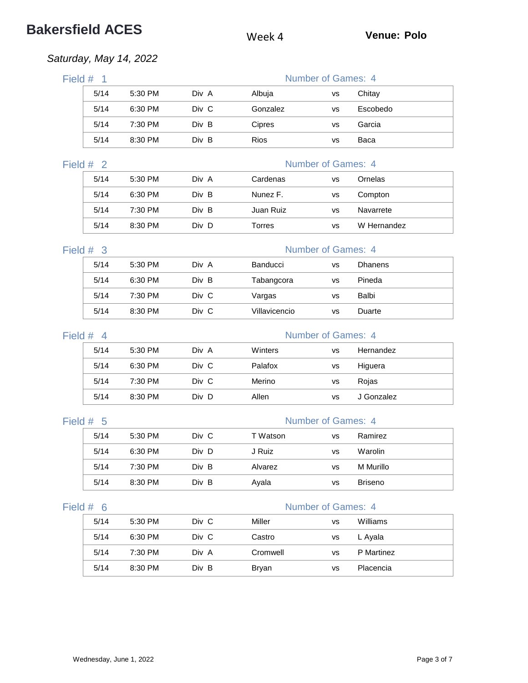# **Bakersfield ACES** Week 4 **Venue: Polo**

## *Saturday, May 14, 2022*

| Field $#$ 1               |         |       |               | Number of Games: 4        |                |
|---------------------------|---------|-------|---------------|---------------------------|----------------|
| 5/14                      | 5:30 PM | Div A | Albuja        | VS                        | Chitay         |
| 5/14                      | 6:30 PM | Div C | Gonzalez      | <b>VS</b>                 | Escobedo       |
| 5/14                      | 7:30 PM | Div B | Cipres        | VS                        | Garcia         |
| 5/14                      | 8:30 PM | Div B | Rios          | VS                        | Baca           |
| Field #<br>$\overline{2}$ |         |       |               | <b>Number of Games: 4</b> |                |
| 5/14                      | 5:30 PM | Div A | Cardenas      | <b>VS</b>                 | Ornelas        |
| 5/14                      | 6:30 PM | Div B | Nunez F.      | <b>VS</b>                 | Compton        |
| 5/14                      | 7:30 PM | Div B | Juan Ruiz     | <b>VS</b>                 | Navarrete      |
| 5/14                      | 8:30 PM | Div D | <b>Torres</b> | <b>VS</b>                 | W Hernandez    |
| Field $#$ 3               |         |       |               | <b>Number of Games: 4</b> |                |
| 5/14                      | 5:30 PM | Div A | Banducci      | <b>VS</b>                 | <b>Dhanens</b> |
| 5/14                      | 6:30 PM | Div B | Tabangcora    | VS                        | Pineda         |
| 5/14                      | 7:30 PM | Div C | Vargas        | VS                        | Balbi          |
| 5/14                      | 8:30 PM | Div C | Villavicencio | VS                        | Duarte         |
| Field #<br>$\overline{4}$ |         |       |               | <b>Number of Games: 4</b> |                |
| 5/14                      | 5:30 PM | Div A | Winters       | <b>VS</b>                 | Hernandez      |
| 5/14                      | 6:30 PM | Div C | Palafox       | vs                        | Higuera        |
| 5/14                      | 7:30 PM | Div C | Merino        | vs                        | Rojas          |
| 5/14                      | 8:30 PM | Div D | Allen         | <b>VS</b>                 | J Gonzalez     |
| Field $# 5$               |         |       |               | <b>Number of Games: 4</b> |                |
| 5/14                      | 5:30 PM | Div C | T Watson      | vs                        | Ramirez        |
| 5/14                      | 6:30 PM | Div D | J Ruiz        | vs                        | Warolin        |
| 5/14                      | 7:30 PM | Div B | Alvarez       | vs                        | M Murillo      |
| 5/14                      | 8:30 PM | Div B | Ayala         | vs                        | <b>Briseno</b> |
| Field #<br>- 6            |         |       |               | Number of Games: 4        |                |
| 5/14                      | 5:30 PM | Div C | Miller        | <b>VS</b>                 | Williams       |
| 5/14                      | 6:30 PM | Div C | Castro        | VS                        | L Ayala        |
| 5/14                      | 7:30 PM | Div A | Cromwell      | VS                        | P Martinez     |
| 5/14                      | 8:30 PM | Div B | <b>Bryan</b>  | <b>VS</b>                 | Placencia      |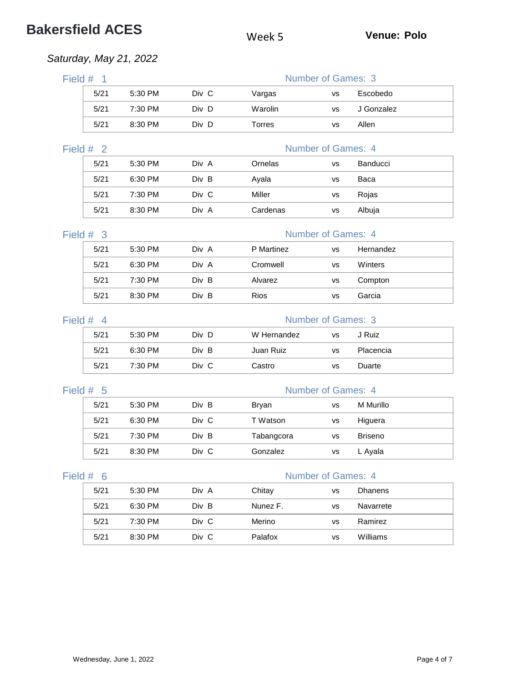# **Bakersfield ACES** Week 5 **Venue: Polo**

### *Saturday, May 21, 2022*

| Field #<br>$\overline{1}$ |         |       |               | <b>Number of Games: 3</b> |                |
|---------------------------|---------|-------|---------------|---------------------------|----------------|
| 5/21                      | 5:30 PM | Div C | Vargas        | <b>VS</b>                 | Escobedo       |
| 5/21                      | 7:30 PM | Div D | Warolin       | <b>VS</b>                 | J Gonzalez     |
| 5/21                      | 8:30 PM | Div D | <b>Torres</b> | vs                        | Allen          |
| $\overline{2}$<br>Field # |         |       |               | Number of Games: 4        |                |
| 5/21                      | 5:30 PM | Div A | Ornelas       | <b>VS</b>                 | Banducci       |
| 5/21                      | 6:30 PM | Div B | Ayala         | vs                        | Baca           |
| 5/21                      | 7:30 PM | Div C | Miller        | <b>VS</b>                 | Rojas          |
| 5/21                      | 8:30 PM | Div A | Cardenas      | vs                        | Albuja         |
| Field #<br>-3             |         |       |               | <b>Number of Games: 4</b> |                |
| 5/21                      | 5:30 PM | Div A | P Martinez    | <b>VS</b>                 | Hernandez      |
| 5/21                      | 6:30 PM | Div A | Cromwell      | <b>VS</b>                 | Winters        |
| 5/21                      | 7:30 PM | Div B | Alvarez       | <b>VS</b>                 | Compton        |
| 5/21                      | 8:30 PM | Div B | Rios          | vs                        | Garcia         |
| Field #<br>$\overline{4}$ |         |       |               | <b>Number of Games: 3</b> |                |
| 5/21                      | 5:30 PM | Div D | W Hernandez   | <b>VS</b>                 | J Ruiz         |
| 5/21                      | 6:30 PM | Div B | Juan Ruiz     | <b>VS</b>                 | Placencia      |
| 5/21                      | 7:30 PM | Div C | Castro        | vs                        | Duarte         |
| Field #<br>5              |         |       |               | <b>Number of Games: 4</b> |                |
| 5/21                      | 5:30 PM | Div B | <b>Bryan</b>  | <b>VS</b>                 | M Murillo      |
| 5/21                      | 6:30 PM | Div C | T Watson      | <b>VS</b>                 | Higuera        |
| 5/21                      | 7:30 PM | Div B | Tabangcora    | <b>VS</b>                 | <b>Briseno</b> |
| 5/21                      | 8:30 PM | Div C | Gonzalez      | <b>VS</b>                 | L Ayala        |
|                           |         |       |               | Number of Games: 4        |                |
| Field #<br>6              |         |       |               |                           |                |
| 5/21                      | 5:30 PM | Div A | Chitay        | <b>VS</b>                 | Dhanens        |
| 5/21                      | 6:30 PM | Div B | Nunez F.      | <b>VS</b>                 | Navarrete      |
| 5/21                      | 7:30 PM | Div C | Merino        | <b>VS</b>                 | Ramirez        |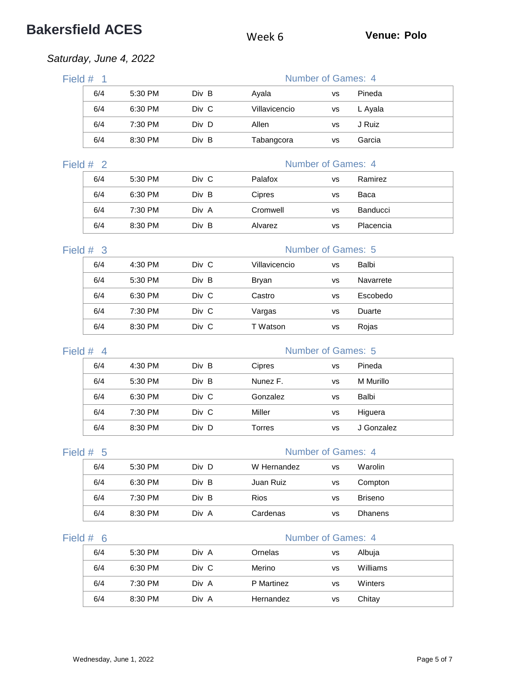## **Bakersfield ACES** Week 6 **Venue: Polo**

### *Saturday, June 4, 2022*

| Field #<br>- 1 |     |           |       | Number of Games: 4 |    |         |  |  |
|----------------|-----|-----------|-------|--------------------|----|---------|--|--|
|                | 6/4 | 5:30 PM   | Div B | Avala              | VS | Pineda  |  |  |
|                | 6/4 | 6:30 PM   | Div C | Villavicencio      | vs | L Ayala |  |  |
|                | 6/4 | $7:30$ PM | Div D | Allen              | vs | J Ruiz  |  |  |
|                | 6/4 | 8:30 PM   | Div B | Tabangcora         | VS | Garcia  |  |  |

### Field  $# 2$

|--|

| 6/4 | 5:30 PM | Div C | Palafox       | VS | Ramirez   |
|-----|---------|-------|---------------|----|-----------|
| 6/4 | 6:30 PM | Div B | <b>Cipres</b> | vs | Baca      |
| 6/4 | 7:30 PM | Div A | Cromwell      | VS | Banducci  |
| 6/4 | 8:30 PM | Div B | Alvarez       | VS | Placencia |

### Field # 3 Number of Games: 5

| 6/4 | $4:30$ PM | Div C | Villavicencio | VS | Balbi     |
|-----|-----------|-------|---------------|----|-----------|
| 6/4 | 5:30 PM   | Div B | Bryan         | VS | Navarrete |
| 6/4 | 6:30 PM   | Div C | Castro        | VS | Escobedo  |
| 6/4 | 7:30 PM   | Div C | Vargas        | VS | Duarte    |
| 6/4 | 8:30 PM   | Div C | T Watson      | VS | Rojas     |

### Field # 4 Number of Games: 5 6/4 4:30 PM Div B Cipres vs Pineda 6/4 5:30 PM Div B Nunez F. vs M Murillo 6/4 6:30 PM Div C Gonzalez vs Balbi 6/4 7:30 PM Div C Miller vs Higuera 6/4 8:30 PM Div D Torres vs J Gonzalez

| ⊴eld » |  |  |  |  |  |
|--------|--|--|--|--|--|
|--------|--|--|--|--|--|

### Number of Games: 4

| 6/4 | 5:30 PM | Div D | W Hernandez | vs | Warolin        |
|-----|---------|-------|-------------|----|----------------|
| 6/4 | 6:30 PM | Div B | Juan Ruiz   | vs | Compton        |
| 6/4 | 7:30 PM | Div B | <b>Rios</b> | vs | <b>Briseno</b> |
| 6/4 | 8:30 PM | Div A | Cardenas    | vs | <b>Dhanens</b> |

### Field # 6 Number of Games: 4

| 6/4 | 5:30 PM | Div A | Ornelas    | <b>VS</b> | Albuja   |
|-----|---------|-------|------------|-----------|----------|
| 6/4 | 6:30 PM | Div C | Merino     | <b>VS</b> | Williams |
| 6/4 | 7:30 PM | Div A | P Martinez | <b>VS</b> | Winters  |
| 6/4 | 8:30 PM | Div A | Hernandez  | <b>VS</b> | Chitay   |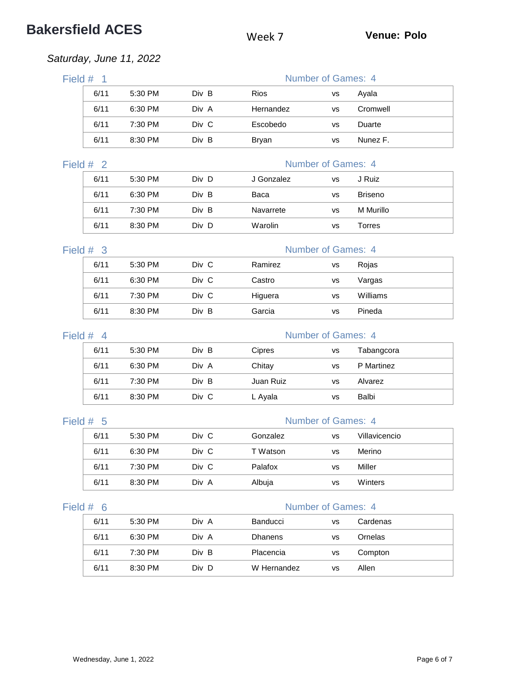# **Bakersfield ACES** Week 7 **Venue: Polo**

## *Saturday, June 11, 2022*

| Field $#$ 1               |         |       |              | Number of Games: 4        |                |
|---------------------------|---------|-------|--------------|---------------------------|----------------|
| 6/11                      | 5:30 PM | Div B | Rios         | vs                        | Ayala          |
| 6/11                      | 6:30 PM | Div A | Hernandez    | <b>VS</b>                 | Cromwell       |
| 6/11                      | 7:30 PM | Div C | Escobedo     | <b>VS</b>                 | Duarte         |
| 6/11                      | 8:30 PM | Div B | <b>Bryan</b> | <b>VS</b>                 | Nunez F.       |
| Field #<br>$\overline{2}$ |         |       |              | <b>Number of Games: 4</b> |                |
| 6/11                      | 5:30 PM | Div D | J Gonzalez   | <b>VS</b>                 | J Ruiz         |
| 6/11                      | 6:30 PM | Div B | Baca         | <b>VS</b>                 | <b>Briseno</b> |
| 6/11                      | 7:30 PM | Div B | Navarrete    | <b>VS</b>                 | M Murillo      |
| 6/11                      | 8:30 PM | Div D | Warolin      | vs                        | Torres         |
| Field $#$ 3               |         |       |              | <b>Number of Games: 4</b> |                |
| 6/11                      | 5:30 PM | Div C | Ramirez      | <b>VS</b>                 | Rojas          |
| 6/11                      | 6:30 PM | Div C | Castro       | <b>VS</b>                 | Vargas         |
| 6/11                      | 7:30 PM | Div C | Higuera      | <b>VS</b>                 | Williams       |
| 6/11                      | 8:30 PM | Div B | Garcia       | <b>VS</b>                 | Pineda         |
| Field $#$ 4               |         |       |              | <b>Number of Games: 4</b> |                |
| 6/11                      | 5:30 PM | Div B | Cipres       | <b>VS</b>                 | Tabangcora     |
| 6/11                      | 6:30 PM | Div A | Chitay       | <b>VS</b>                 | P Martinez     |
| 6/11                      | 7:30 PM | Div B | Juan Ruiz    | <b>VS</b>                 | Alvarez        |
| 6/11                      | 8:30 PM | Div C | L Ayala      | <b>VS</b>                 | Balbi          |
| Field $#$ 5               |         |       |              | <b>Number of Games: 4</b> |                |
| 6/11                      | 5:30 PM | Div C | Gonzalez     | vs                        | Villavicencio  |
| 6/11                      | 6:30 PM | Div C | T Watson     | vs                        | Merino         |
| 6/11                      | 7:30 PM | Div C | Palafox      | vs                        | Miller         |
| 6/11                      | 8:30 PM | Div A | Albuja       | vs                        | Winters        |
| Field #<br>- 6            |         |       |              | <b>Number of Games: 4</b> |                |
| 6/11                      | 5:30 PM | Div A | Banducci     | <b>VS</b>                 | Cardenas       |
| 6/11                      | 6:30 PM | Div A | Dhanens      | vs                        | Ornelas        |
| 6/11                      | 7:30 PM | Div B | Placencia    | vs                        | Compton        |
| 6/11                      | 8:30 PM | Div D | W Hernandez  | <b>VS</b>                 | Allen          |